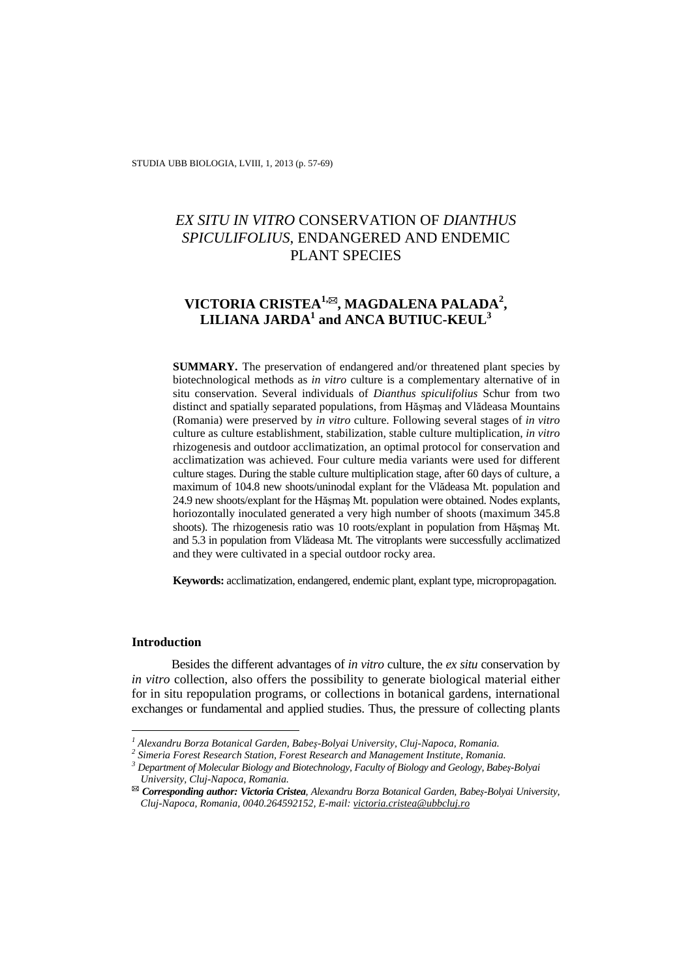# *EX SITU IN VITRO* CONSERVATION OF *DIANTHUS SPICULIFOLIUS*, ENDANGERED AND ENDEMIC PLANT SPECIES

# **VICTORIA CRISTEA1,, MAGDALENA PALADA<sup>2</sup> ,**   $\mathbf{LILLIANA}$   $\mathbf{JARDA}^{1}$  and  $\mathbf{ANCA}$   $\mathbf{BUTIUC}$ - $\mathbf{KEUL}^{3}$

**SUMMARY.** The preservation of endangered and/or threatened plant species by biotechnological methods as *in vitro* culture is a complementary alternative of in situ conservation. Several individuals of *Dianthus spiculifolius* Schur from two distinct and spatially separated populations, from Hăşmaş and Vlădeasa Mountains (Romania) were preserved by *in vitro* culture. Following several stages of *in vitro*  culture as culture establishment, stabilization, stable culture multiplication, *in vitro*  rhizogenesis and outdoor acclimatization, an optimal protocol for conservation and acclimatization was achieved. Four culture media variants were used for different culture stages. During the stable culture multiplication stage, after 60 days of culture, a maximum of 104.8 new shoots/uninodal explant for the Vlădeasa Mt. population and 24.9 new shoots/explant for the Hăşmaş Mt. population were obtained. Nodes explants, horiozontally inoculated generated a very high number of shoots (maximum 345.8 shoots). The rhizogenesis ratio was 10 roots/explant in population from Hăşmaş Mt. and 5.3 in population from Vlădeasa Mt. The vitroplants were successfully acclimatized and they were cultivated in a special outdoor rocky area.

**Keywords:** acclimatization, endangered, endemic plant, explant type, micropropagation.

# **Introduction**

 $\overline{a}$ 

Besides the different advantages of *in vitro* culture, the *ex situ* conservation by *in vitro* collection, also offers the possibility to generate biological material either for in situ repopulation programs, or collections in botanical gardens, international exchanges or fundamental and applied studies. Thus, the pressure of collecting plants

<sup>&</sup>lt;sup>1</sup> Alexandru Borza Botanical Garden, Babeş-Bolyai University, Cluj-Napoca, Romania.<br><sup>2</sup> Simaria Eorest Basearch Station, Eorest Besearch and Management Institute, Bomania

*Simeria Forest Research Station, Forest Research and Management Institute, Romania.* 

*<sup>3</sup> Department of Molecular Biology and Biotechnology, Faculty of Biology and Geology, Babeş-Bolyai University, Cluj-Napoca, Romania.* 

*Corresponding author: Victoria Cristea, Alexandru Borza Botanical Garden, Babeş-Bolyai University, Cluj-Napoca, Romania, 0040.264592152, E-mail: victoria.cristea@ubbcluj.ro*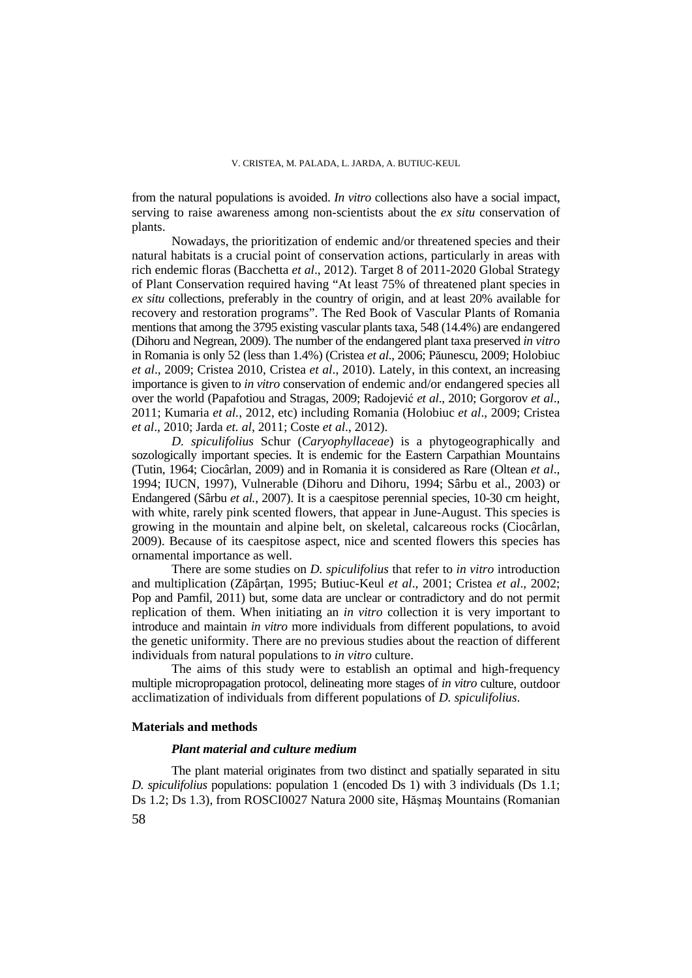from the natural populations is avoided. *In vitro* collections also have a social impact, serving to raise awareness among non-scientists about the *ex situ* conservation of plants.

Nowadays, the prioritization of endemic and/or threatened species and their natural habitats is a crucial point of conservation actions, particularly in areas with rich endemic floras (Bacchetta *et al*., 2012). Target 8 of 2011-2020 Global Strategy of Plant Conservation required having "At least 75% of threatened plant species in *ex situ* collections, preferably in the country of origin, and at least 20% available for recovery and restoration programs". The Red Book of Vascular Plants of Romania mentions that among the 3795 existing vascular plants taxa, 548 (14.4%) are endangered (Dihoru and Negrean, 2009). The number of the endangered plant taxa preserved *in vitro*  in Romania is only 52 (less than 1.4%) (Cristea *et al*., 2006; Păunescu, 2009; Holobiuc *et al*., 2009; Cristea 2010, Cristea *et al*., 2010). Lately, in this context, an increasing importance is given to *in vitro* conservation of endemic and/or endangered species all over the world (Papafotiou and Stragas, 2009; Radojević *et al*., 2010; Gorgorov *et al*., 2011; Kumaria *et al.*, 2012, etc) including Romania (Holobiuc *et al*., 2009; Cristea *et al*., 2010; Jarda *et. al*, 2011; Coste *et al*., 2012).

*D. spiculifolius* Schur (*Caryophyllaceae*) is a phytogeographically and sozologically important species. It is endemic for the Eastern Carpathian Mountains (Tutin, 1964; Ciocârlan, 2009) and in Romania it is considered as Rare (Oltean *et al*., 1994; IUCN, 1997), Vulnerable (Dihoru and Dihoru, 1994; Sârbu et al., 2003) or Endangered (Sârbu *et al.*, 2007). It is a caespitose perennial species, 10-30 cm height, with white, rarely pink scented flowers, that appear in June-August. This species is growing in the mountain and alpine belt, on skeletal, calcareous rocks (Ciocârlan, 2009). Because of its caespitose aspect, nice and scented flowers this species has ornamental importance as well.

There are some studies on *D. spiculifolius* that refer to *in vitro* introduction and multiplication (Zăpârţan, 1995; Butiuc-Keul *et al*., 2001; Cristea *et al*., 2002; Pop and Pamfil, 2011) but, some data are unclear or contradictory and do not permit replication of them. When initiating an *in vitro* collection it is very important to introduce and maintain *in vitro* more individuals from different populations, to avoid the genetic uniformity. There are no previous studies about the reaction of different individuals from natural populations to *in vitro* culture.

The aims of this study were to establish an optimal and high-frequency multiple micropropagation protocol, delineating more stages of *in vitro* culture, outdoor acclimatization of individuals from different populations of *D. spiculifolius*.

# **Materials and methods**

## *Plant material and culture medium*

58 The plant material originates from two distinct and spatially separated in situ *D. spiculifolius* populations: population 1 (encoded Ds 1) with 3 individuals (Ds 1.1; Ds 1.2; Ds 1.3), from ROSCI0027 Natura 2000 site, Hăşmaş Mountains (Romanian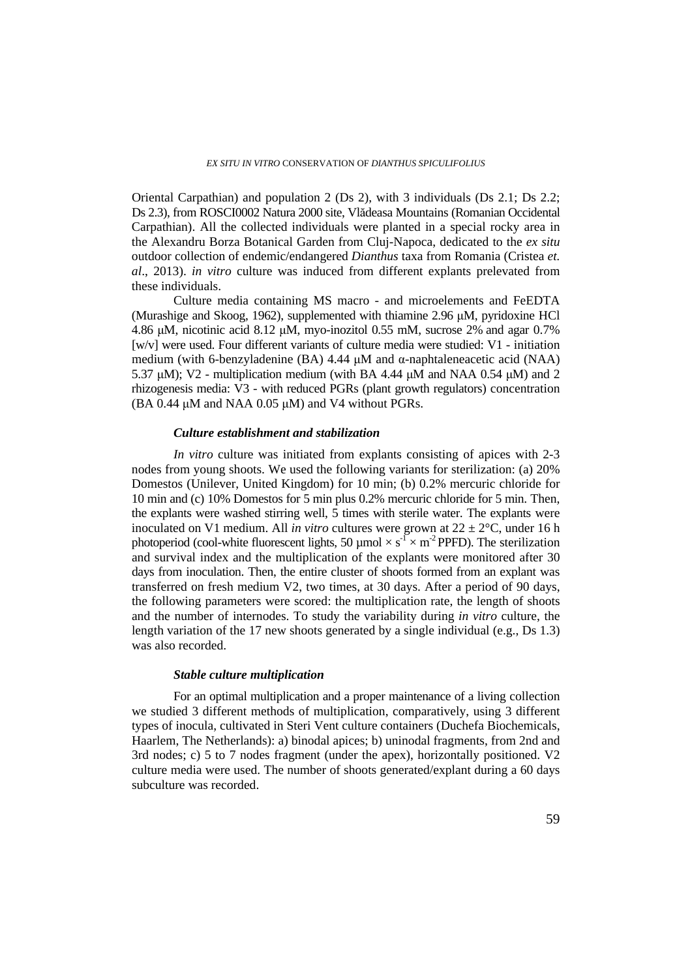Oriental Carpathian) and population 2 (Ds 2), with 3 individuals (Ds 2.1; Ds 2.2; Ds 2.3), from ROSCI0002 Natura 2000 site, Vlădeasa Mountains (Romanian Occidental Carpathian). All the collected individuals were planted in a special rocky area in the Alexandru Borza Botanical Garden from Cluj-Napoca, dedicated to the *ex situ* outdoor collection of endemic/endangered *Dianthus* taxa from Romania (Cristea *et. al*., 2013). *in vitro* culture was induced from different explants prelevated from these individuals.

Culture media containing MS macro - and microelements and FeEDTA (Murashige and Skoog, 1962), supplemented with thiamine 2.96 μM, pyridoxine HCl 4.86 μM, nicotinic acid 8.12 μM, myo-inozitol 0.55 mM, sucrose 2% and agar 0.7% [w/v] were used. Four different variants of culture media were studied: V1 - initiation medium (with 6-benzyladenine (BA) 4.44 μM and α-naphtaleneacetic acid (NAA) 5.37 μM); V2 - multiplication medium (with BA 4.44 μM and NAA 0.54 μM) and 2 rhizogenesis media: V3 - with reduced PGRs (plant growth regulators) concentration (BA 0.44  $\mu$ M and NAA 0.05  $\mu$ M) and V4 without PGRs.

### *Culture establishment and stabilization*

*In vitro* culture was initiated from explants consisting of apices with 2-3 nodes from young shoots. We used the following variants for sterilization: (a) 20% Domestos (Unilever, United Kingdom) for 10 min; (b) 0.2% mercuric chloride for 10 min and (c) 10% Domestos for 5 min plus 0.2% mercuric chloride for 5 min. Then, the explants were washed stirring well, 5 times with sterile water. The explants were inoculated on V1 medium. All *in vitro* cultures were grown at  $22 \pm 2$ °C, under 16 h photoperiod (cool-white fluorescent lights, 50 µmol  $\times s^{-1} \times m^{-2}$  PPFD). The sterilization and survival index and the multiplication of the explants were monitored after 30 days from inoculation. Then, the entire cluster of shoots formed from an explant was transferred on fresh medium V2, two times, at 30 days. After a period of 90 days, the following parameters were scored: the multiplication rate, the length of shoots and the number of internodes. To study the variability during *in vitro* culture, the length variation of the 17 new shoots generated by a single individual (e.g., Ds 1.3) was also recorded.

# *Stable culture multiplication*

For an optimal multiplication and a proper maintenance of a living collection we studied 3 different methods of multiplication, comparatively, using 3 different types of inocula, cultivated in Steri Vent culture containers (Duchefa Biochemicals, Haarlem, The Netherlands): a) binodal apices; b) uninodal fragments, from 2nd and 3rd nodes; c) 5 to 7 nodes fragment (under the apex), horizontally positioned. V2 culture media were used. The number of shoots generated/explant during a 60 days subculture was recorded.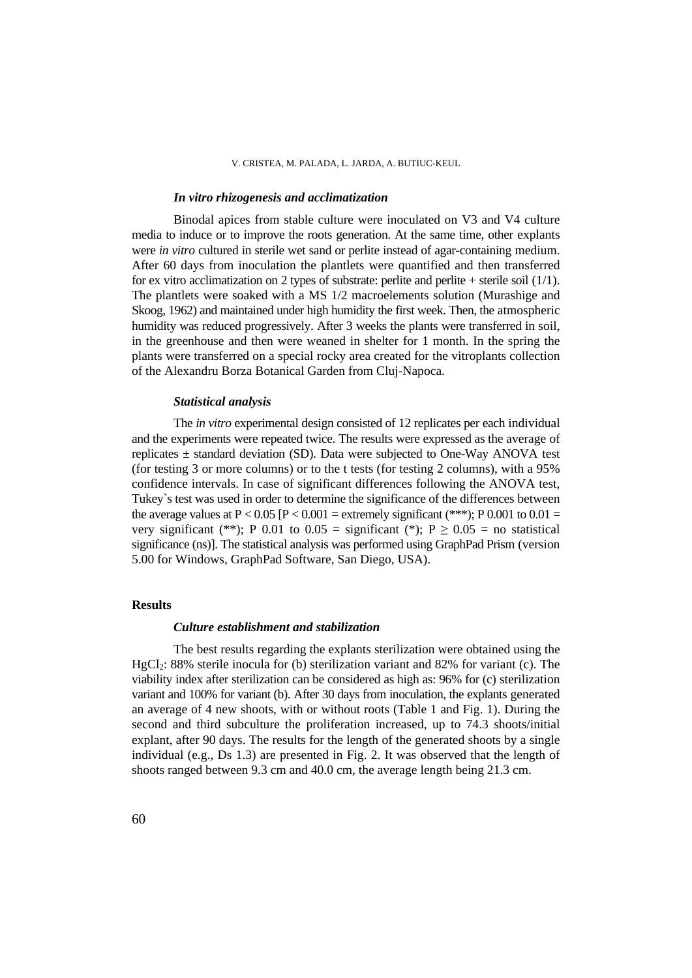### *In vitro rhizogenesis and acclimatization*

Binodal apices from stable culture were inoculated on V3 and V4 culture media to induce or to improve the roots generation. At the same time, other explants were *in vitro* cultured in sterile wet sand or perlite instead of agar-containing medium. After 60 days from inoculation the plantlets were quantified and then transferred for ex vitro acclimatization on 2 types of substrate: perlite and perlite + sterile soil  $(1/1)$ . The plantlets were soaked with a MS 1/2 macroelements solution (Murashige and Skoog, 1962) and maintained under high humidity the first week. Then, the atmospheric humidity was reduced progressively. After 3 weeks the plants were transferred in soil, in the greenhouse and then were weaned in shelter for 1 month. In the spring the plants were transferred on a special rocky area created for the vitroplants collection of the Alexandru Borza Botanical Garden from Cluj-Napoca.

### *Statistical analysis*

The *in vitro* experimental design consisted of 12 replicates per each individual and the experiments were repeated twice. The results were expressed as the average of replicates  $\pm$  standard deviation (SD). Data were subjected to One-Way ANOVA test (for testing 3 or more columns) or to the t tests (for testing 2 columns), with a 95% confidence intervals. In case of significant differences following the ANOVA test, Tukey`s test was used in order to determine the significance of the differences between the average values at  $P < 0.05$  [P  $< 0.001$  = extremely significant (\*\*\*); P 0.001 to 0.01 = very significant (\*\*); P 0.01 to 0.05 = significant (\*); P  $> 0.05$  = no statistical significance (ns)]. The statistical analysis was performed using GraphPad Prism (version 5.00 for Windows, GraphPad Software, San Diego, USA).

### **Results**

### *Culture establishment and stabilization*

The best results regarding the explants sterilization were obtained using the  $HgCl<sub>2</sub>: 88%$  sterile inocula for (b) sterilization variant and 82% for variant (c). The viability index after sterilization can be considered as high as: 96% for (c) sterilization variant and 100% for variant (b). After 30 days from inoculation, the explants generated an average of 4 new shoots, with or without roots (Table 1 and Fig. 1). During the second and third subculture the proliferation increased, up to 74.3 shoots/initial explant, after 90 days. The results for the length of the generated shoots by a single individual (e.g., Ds 1.3) are presented in Fig. 2. It was observed that the length of shoots ranged between 9.3 cm and 40.0 cm, the average length being 21.3 cm.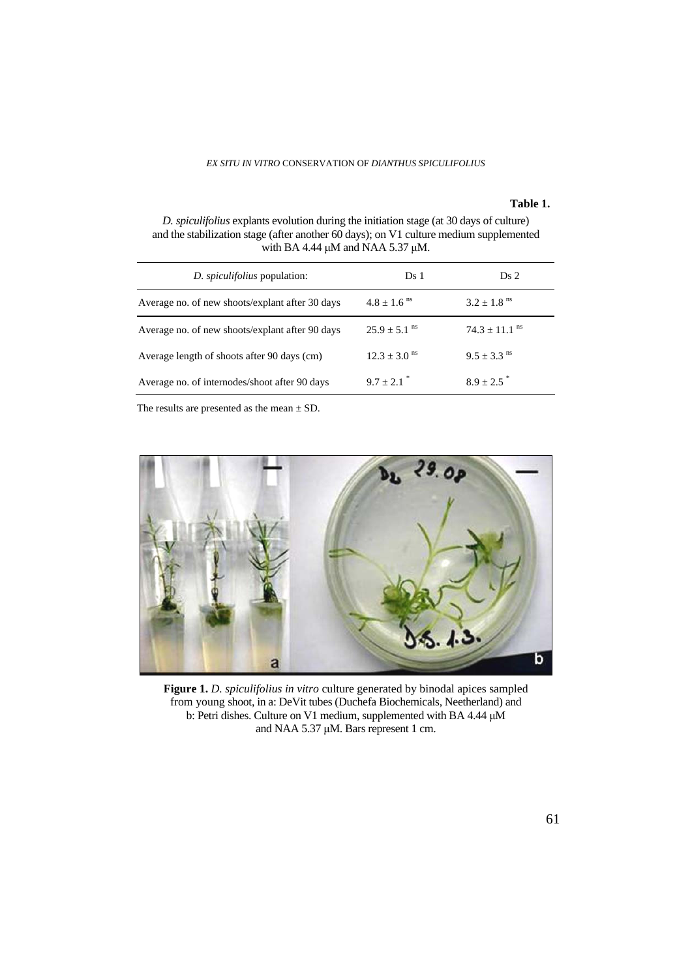### **Table 1.**

*D. spiculifolius* explants evolution during the initiation stage (at 30 days of culture) and the stabilization stage (after another 60 days); on V1 culture medium supplemented with BA 4.44  $\mu$ M and NAA 5.37  $\mu$ M.

| <i>D. spiculifolius</i> population:             | Ds 1                         | Ds <sub>2</sub>             |  |
|-------------------------------------------------|------------------------------|-----------------------------|--|
| Average no. of new shoots/explant after 30 days | $4.8 \pm 1.6$ <sup>ns</sup>  | $3.2 + 1.8$ <sup>ns</sup>   |  |
| Average no. of new shoots/explant after 90 days | $25.9 + 5.1$ <sup>ns</sup>   | $74.3 + 11.1$ <sup>ns</sup> |  |
| Average length of shoots after 90 days (cm)     | $12.3 \pm 3.0$ <sup>ns</sup> | $9.5 + 3.3$ <sup>ns</sup>   |  |
| Average no. of internodes/shoot after 90 days   | $9.7 + 2.1$                  | $8.9 + 2.5$                 |  |

The results are presented as the mean  $\pm$  SD.



**Figure 1.** *D. spiculifolius in vitro* culture generated by binodal apices sampled from young shoot, in a: DeVit tubes (Duchefa Biochemicals, Neetherland) and b: Petri dishes. Culture on V1 medium, supplemented with BA 4.44 μM and NAA 5.37 μM. Bars represent 1 cm.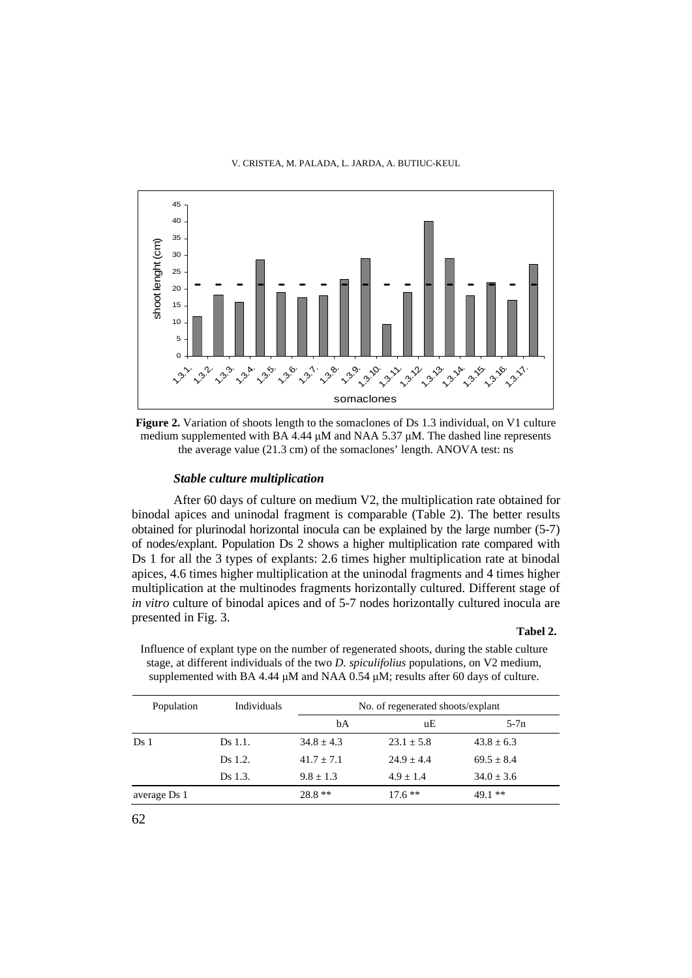

**Figure 2.** Variation of shoots length to the somaclones of Ds 1.3 individual, on V1 culture medium supplemented with BA 4.44  $\mu$ M and NAA 5.37  $\mu$ M. The dashed line represents the average value (21.3 cm) of the somaclones' length. ANOVA test: ns

# *Stable culture multiplication*

After 60 days of culture on medium V2, the multiplication rate obtained for binodal apices and uninodal fragment is comparable (Table 2). The better results obtained for plurinodal horizontal inocula can be explained by the large number (5-7) of nodes/explant. Population Ds 2 shows a higher multiplication rate compared with Ds 1 for all the 3 types of explants: 2.6 times higher multiplication rate at binodal apices, 4.6 times higher multiplication at the uninodal fragments and 4 times higher multiplication at the multinodes fragments horizontally cultured. Different stage of *in vitro* culture of binodal apices and of 5-7 nodes horizontally cultured inocula are presented in Fig. 3.

#### **Tabel 2.**

Influence of explant type on the number of regenerated shoots, during the stable culture stage, at different individuals of the two *D. spiculifolius* populations, on V2 medium, supplemented with BA 4.44 μM and NAA 0.54 μM; results after 60 days of culture.

| Population      | Individuals | No. of regenerated shoots/explant |              |              |  |
|-----------------|-------------|-----------------------------------|--------------|--------------|--|
|                 |             | bA                                | uЕ           | $5-7n$       |  |
| Ds <sub>1</sub> | Ds 1.1.     | $34.8 + 4.3$                      | $23.1 + 5.8$ | $43.8 + 6.3$ |  |
|                 | Ds 1.2.     | $41.7 + 7.1$                      | $24.9 + 4.4$ | $69.5 + 8.4$ |  |
|                 | Ds 1.3.     | $9.8 + 1.3$                       | $4.9 + 1.4$  | $34.0 + 3.6$ |  |
| average Ds 1    |             | $28.8**$                          | $17.6**$     | $49.1**$     |  |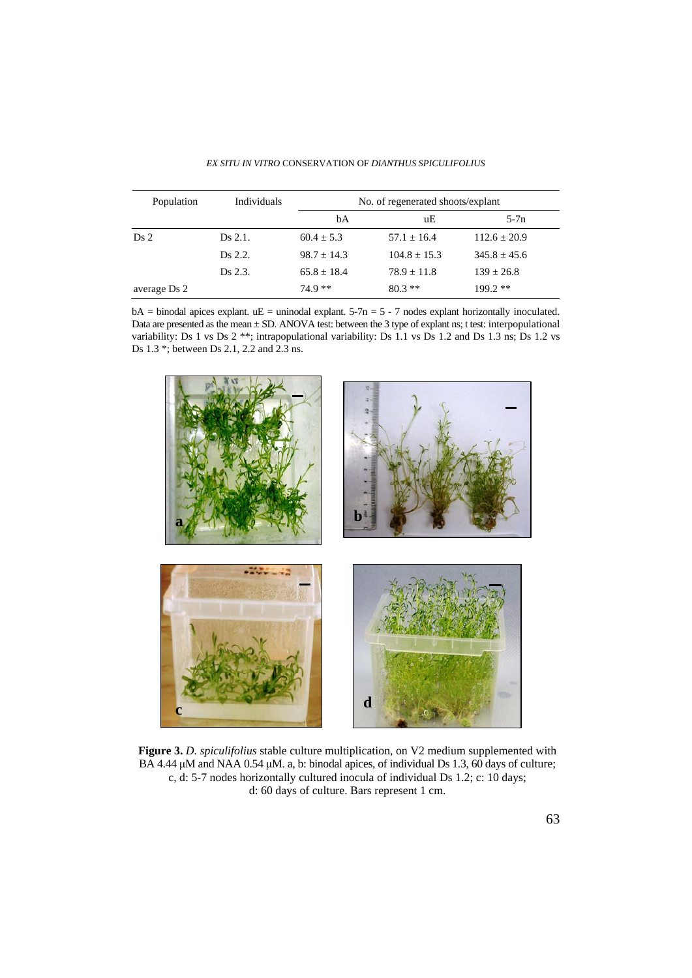| Population      | Individuals | No. of regenerated shoots/explant |                |                |  |
|-----------------|-------------|-----------------------------------|----------------|----------------|--|
|                 |             | bA                                | uЕ             | $5-7n$         |  |
| Ds <sub>2</sub> | Ds 2.1.     | $60.4 + 5.3$                      | $57.1 + 16.4$  | $112.6 + 20.9$ |  |
|                 | Ds 2.2.     | $98.7 + 14.3$                     | $104.8 + 15.3$ | $345.8 + 45.6$ |  |
|                 | Ds 2.3.     | $65.8 + 18.4$                     | $78.9 + 11.8$  | $139 + 26.8$   |  |
| average Ds 2    |             | $74.9**$                          | $80.3**$       | $199.2**$      |  |

*EX SITU IN VITRO* CONSERVATION OF *DIANTHUS SPICULIFOLIUS*

 $bA = binodal$  apices explant.  $uE =$  uninodal explant. 5-7n = 5 - 7 nodes explant horizontally inoculated. Data are presented as the mean  $\pm$  SD. ANOVA test: between the 3 type of explant ns; t test: interpopulational variability: Ds 1 vs Ds 2 \*\*; intrapopulational variability: Ds 1.1 vs Ds 1.2 and Ds 1.3 ns; Ds 1.2 vs Ds 1.3 \*; between Ds 2.1, 2.2 and 2.3 ns.



**Figure 3.** *D. spiculifolius* stable culture multiplication, on V2 medium supplemented with BA 4.44 μM and NAA 0.54 μM. a, b: binodal apices, of individual Ds 1.3, 60 days of culture; c, d: 5-7 nodes horizontally cultured inocula of individual Ds 1.2; c: 10 days; d: 60 days of culture. Bars represent 1 cm.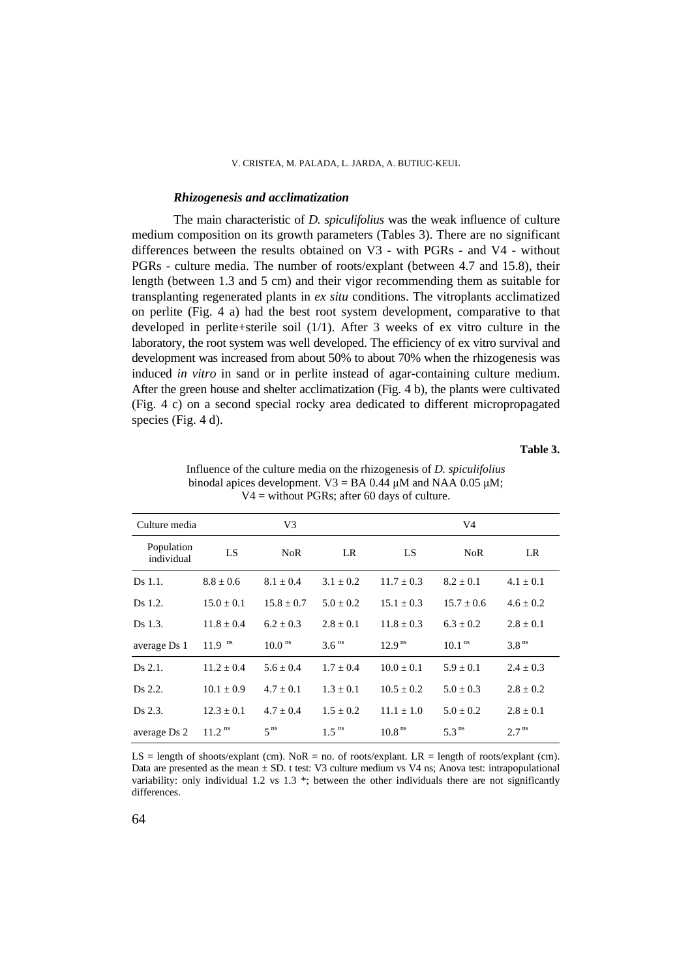### *Rhizogenesis and acclimatization*

The main characteristic of *D. spiculifolius* was the weak influence of culture medium composition on its growth parameters (Tables 3). There are no significant differences between the results obtained on V3 - with PGRs - and V4 - without PGRs - culture media. The number of roots/explant (between 4.7 and 15.8), their length (between 1.3 and 5 cm) and their vigor recommending them as suitable for transplanting regenerated plants in *ex situ* conditions. The vitroplants acclimatized on perlite (Fig. 4 a) had the best root system development, comparative to that developed in perlite+sterile soil (1/1). After 3 weeks of ex vitro culture in the laboratory, the root system was well developed. The efficiency of ex vitro survival and development was increased from about 50% to about 70% when the rhizogenesis was induced *in vitro* in sand or in perlite instead of agar-containing culture medium. After the green house and shelter acclimatization (Fig. 4 b), the plants were cultivated (Fig. 4 c) on a second special rocky area dedicated to different micropropagated species (Fig. 4 d).

#### **Table 3.**

| Culture media            | V3                   |                      |                     | V4                 |                    |                   |
|--------------------------|----------------------|----------------------|---------------------|--------------------|--------------------|-------------------|
| Population<br>individual | LS                   | NoR                  | LR                  | LS.                | <b>NoR</b>         | LR                |
| Ds 1.1.                  | $8.8 \pm 0.6$        | $8.1 + 0.4$          | $3.1 + 0.2$         | $11.7 + 0.3$       | $8.2 \pm 0.1$      | $4.1 \pm 0.1$     |
| Ds 1.2.                  | $15.0 \pm 0.1$       | $15.8 \pm 0.7$       | $5.0 \pm 0.2$       | $15.1 \pm 0.3$     | $15.7 \pm 0.6$     | $4.6 \pm 0.2$     |
| Ds 1.3.                  | $11.8 \pm 0.4$       | $6.2 \pm 0.3$        | $2.8 \pm 0.1$       | $11.8 \pm 0.3$     | $6.3 \pm 0.2$      | $2.8 \pm 0.1$     |
| average Ds 1             | $11.9$ <sup>ns</sup> | $10.0$ <sup>ns</sup> | 3.6 <sup>ns</sup>   | 12.9 <sup>ns</sup> | 10.1 <sup>ns</sup> | 3.8 <sup>ns</sup> |
| Ds 2.1.                  | $11.2 \pm 0.4$       | $5.6 + 0.4$          | $1.7 + 0.4$         | $10.0 \pm 0.1$     | $5.9 \pm 0.1$      | $2.4 \pm 0.3$     |
| Ds 2.2.                  | $10.1 \pm 0.9$       | $4.7 + 0.1$          | $1.3 + 0.1$         | $10.5 + 0.2$       | $5.0 \pm 0.3$      | $2.8 \pm 0.2$     |
| Ds 2.3.                  | $12.3 \pm 0.1$       | $4.7 + 0.4$          | $1.5 + 0.2$         | $11.1 + 1.0$       | $5.0 + 0.2$        | $2.8 + 0.1$       |
| average Ds 2             | $11.2$ <sup>ns</sup> | 5 <sup>ns</sup>      | $1.5$ <sup>ns</sup> | 10.8 <sup>ns</sup> | 5.3 <sup>ns</sup>  | 2.7 <sup>ns</sup> |

Influence of the culture media on the rhizogenesis of *D. spiculifolius* binodal apices development.  $V3 = BA$  0.44 μM and NAA 0.05 μM;  $V4 =$  without PGRs; after 60 days of culture.

 $LS = length of shoots/explain (cm)$ . NoR = no. of roots/explant.  $LR = length of roots/explain (cm)$ . Data are presented as the mean  $\pm$  SD. t test: V3 culture medium vs V4 ns; Anova test: intrapopulational variability: only individual 1.2 vs 1.3 \*; between the other individuals there are not significantly differences.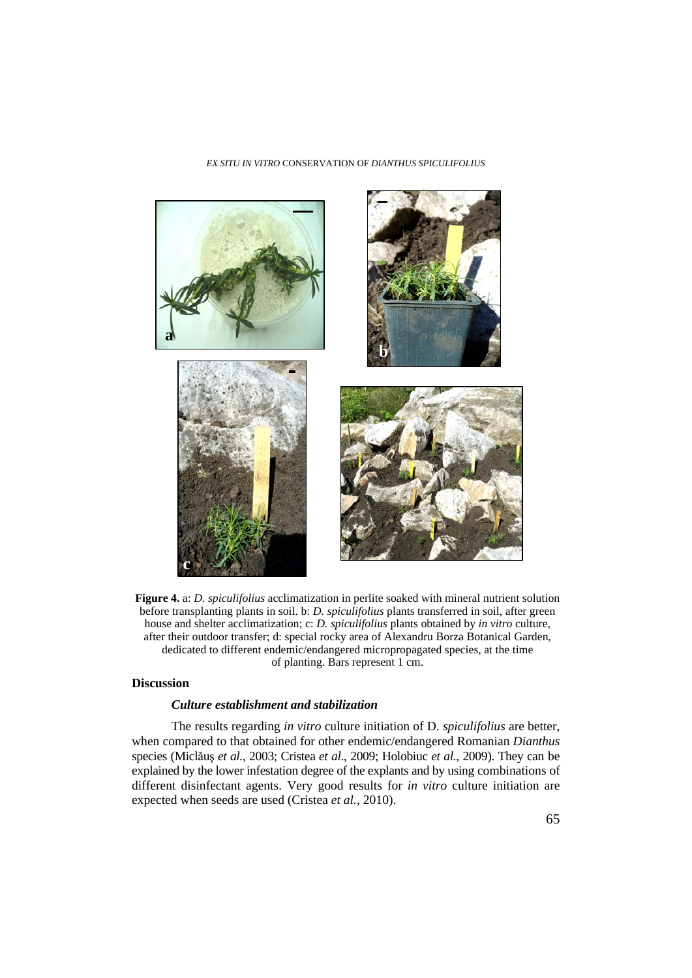#### *EX SITU IN VITRO* CONSERVATION OF *DIANTHUS SPICULIFOLIUS*



**Figure 4.** a: *D. spiculifolius* acclimatization in perlite soaked with mineral nutrient solution before transplanting plants in soil. b: *D. spiculifolius* plants transferred in soil, after green house and shelter acclimatization; c: *D. spiculifolius* plants obtained by *in vitro* culture, after their outdoor transfer; d: special rocky area of Alexandru Borza Botanical Garden, dedicated to different endemic/endangered micropropagated species, at the time of planting. Bars represent 1 cm.

# **Discussion**

# *Culture establishment and stabilization*

The results regarding *in vitro* culture initiation of D. *spiculifolius* are better, when compared to that obtained for other endemic/endangered Romanian *Dianthus* species (Miclăuş *et al.*, 2003; Cristea *et al*., 2009; Holobiuc *et al.*, 2009). They can be explained by the lower infestation degree of the explants and by using combinations of different disinfectant agents. Very good results for *in vitro* culture initiation are expected when seeds are used (Cristea *et al.*, 2010).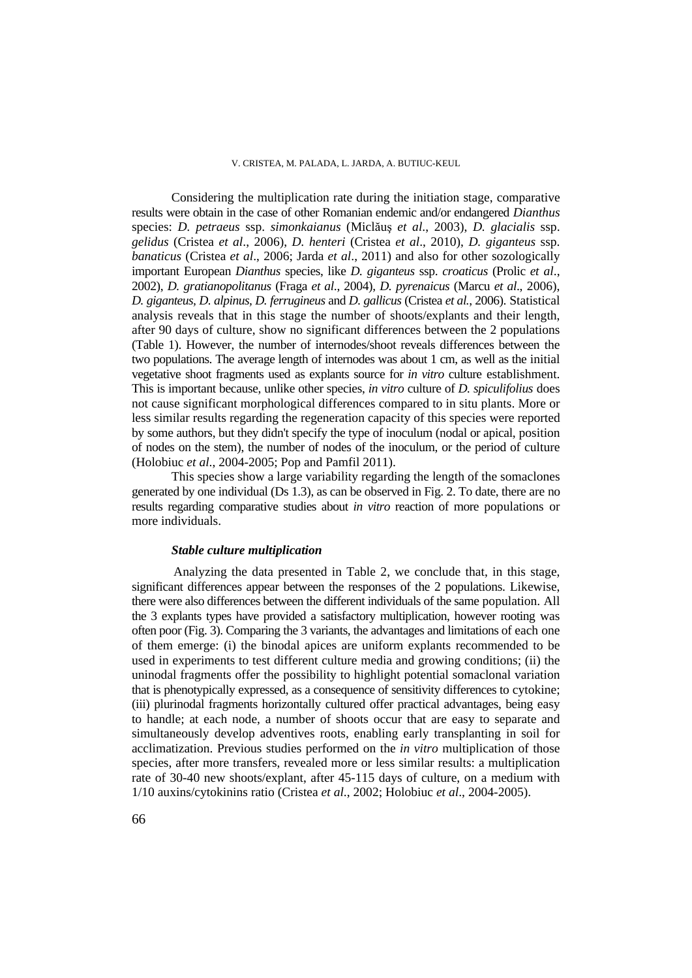#### V. CRISTEA, M. PALADA, L. JARDA, A. BUTIUC-KEUL

Considering the multiplication rate during the initiation stage, comparative results were obtain in the case of other Romanian endemic and/or endangered *Dianthus*  species: *D. petraeus* ssp. *simonkaianus* (Miclăuş *et al*., 2003), *D. glacialis* ssp. *gelidus* (Cristea *et al*., 2006), *D. henteri* (Cristea *et al*., 2010), *D. giganteus* ssp. *banaticus* (Cristea *et al*., 2006; Jarda *et al*., 2011) and also for other sozologically important European *Dianthus* species, like *D. giganteus* ssp. *croaticus* (Prolic *et al*., 2002), *D. gratianopolitanus* (Fraga *et al*., 2004), *D. pyrenaicus* (Marcu *et al*., 2006), *D. giganteus, D. alpinus, D. ferrugineus* and *D. gallicus* (Cristea *et al.*, 2006). Statistical analysis reveals that in this stage the number of shoots/explants and their length, after 90 days of culture, show no significant differences between the 2 populations (Table 1). However, the number of internodes/shoot reveals differences between the two populations. The average length of internodes was about 1 cm, as well as the initial vegetative shoot fragments used as explants source for *in vitro* culture establishment. This is important because, unlike other species, *in vitro* culture of *D. spiculifolius* does not cause significant morphological differences compared to in situ plants. More or less similar results regarding the regeneration capacity of this species were reported by some authors, but they didn't specify the type of inoculum (nodal or apical, position of nodes on the stem), the number of nodes of the inoculum, or the period of culture (Holobiuc *et al*., 2004-2005; Pop and Pamfil 2011).

This species show a large variability regarding the length of the somaclones generated by one individual (Ds 1.3), as can be observed in Fig. 2. To date, there are no results regarding comparative studies about *in vitro* reaction of more populations or more individuals.

### *Stable culture multiplication*

Analyzing the data presented in Table 2, we conclude that, in this stage, significant differences appear between the responses of the 2 populations. Likewise, there were also differences between the different individuals of the same population. All the 3 explants types have provided a satisfactory multiplication, however rooting was often poor (Fig. 3). Comparing the 3 variants, the advantages and limitations of each one of them emerge: (i) the binodal apices are uniform explants recommended to be used in experiments to test different culture media and growing conditions; (ii) the uninodal fragments offer the possibility to highlight potential somaclonal variation that is phenotypically expressed, as a consequence of sensitivity differences to cytokine; (iii) plurinodal fragments horizontally cultured offer practical advantages, being easy to handle; at each node, a number of shoots occur that are easy to separate and simultaneously develop adventives roots, enabling early transplanting in soil for acclimatization. Previous studies performed on the *in vitro* multiplication of those species, after more transfers, revealed more or less similar results: a multiplication rate of 30-40 new shoots/explant, after 45-115 days of culture, on a medium with 1/10 auxins/cytokinins ratio (Cristea *et al*., 2002; Holobiuc *et al*., 2004-2005).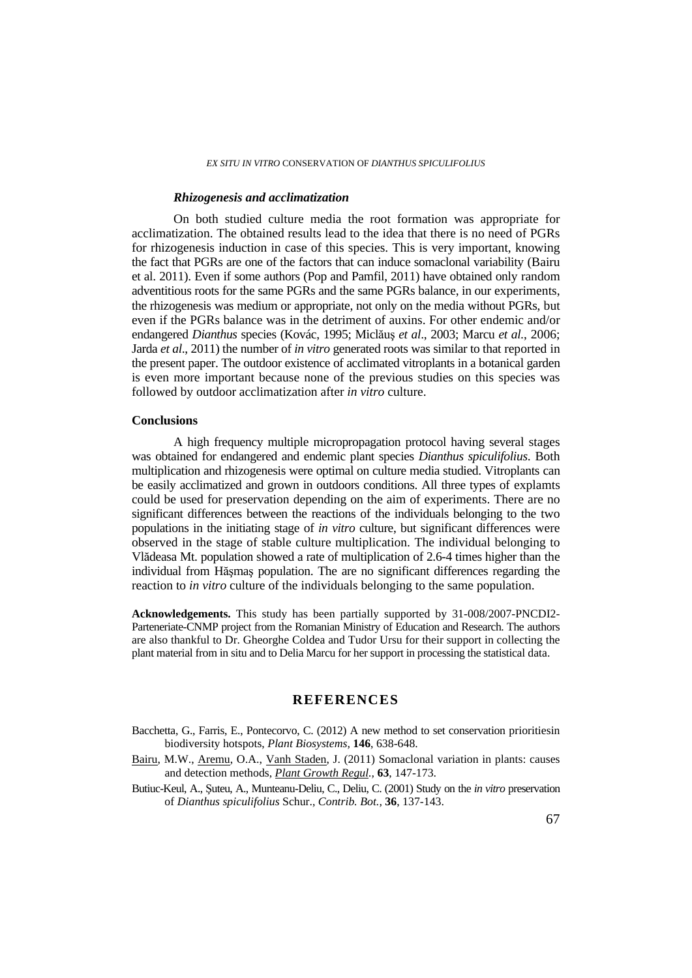### *Rhizogenesis and acclimatization*

On both studied culture media the root formation was appropriate for acclimatization. The obtained results lead to the idea that there is no need of PGRs for rhizogenesis induction in case of this species. This is very important, knowing the fact that PGRs are one of the factors that can induce somaclonal variability (Bairu et al. 2011). Even if some authors (Pop and Pamfil, 2011) have obtained only random adventitious roots for the same PGRs and the same PGRs balance, in our experiments, the rhizogenesis was medium or appropriate, not only on the media without PGRs, but even if the PGRs balance was in the detriment of auxins. For other endemic and/or endangered *Dianthus* species (Kovác, 1995; Miclăuş *et al*., 2003; Marcu *et al.*, 2006; Jarda *et al*., 2011) the number of *in vitro* generated roots was similar to that reported in the present paper. The outdoor existence of acclimated vitroplants in a botanical garden is even more important because none of the previous studies on this species was followed by outdoor acclimatization after *in vitro* culture.

### **Conclusions**

A high frequency multiple micropropagation protocol having several stages was obtained for endangered and endemic plant species *Dianthus spiculifolius*. Both multiplication and rhizogenesis were optimal on culture media studied. Vitroplants can be easily acclimatized and grown in outdoors conditions. All three types of explamts could be used for preservation depending on the aim of experiments. There are no significant differences between the reactions of the individuals belonging to the two populations in the initiating stage of *in vitro* culture, but significant differences were observed in the stage of stable culture multiplication. The individual belonging to Vlădeasa Mt. population showed a rate of multiplication of 2.6-4 times higher than the individual from Hăşmaş population. The are no significant differences regarding the reaction to *in vitro* culture of the individuals belonging to the same population.

**Acknowledgements.** This study has been partially supported by 31-008/2007-PNCDI2- Parteneriate-CNMP project from the Romanian Ministry of Education and Research. The authors are also thankful to Dr. Gheorghe Coldea and Tudor Ursu for their support in collecting the plant material from in situ and to Delia Marcu for her support in processing the statistical data.

# **REFERENCES**

- Bacchetta, G., Farris, E., Pontecorvo, C. (2012) A new method to set conservation prioritiesin biodiversity hotspots, *Plant Biosystems,* **146**, 638-648.
- Bairu, M.W., Aremu, O.A., Vanh Staden, J. (2011) Somaclonal variation in plants: causes and detection methods, *Plant Growth Regul.,* **63**, 147-173.
- Butiuc-Keul, A., Şuteu, A., Munteanu-Deliu, C., Deliu, C. (2001) Study on the *in vitro* preservation of *Dianthus spiculifolius* Schur., *Contrib. Bot.,* **36**, 137-143.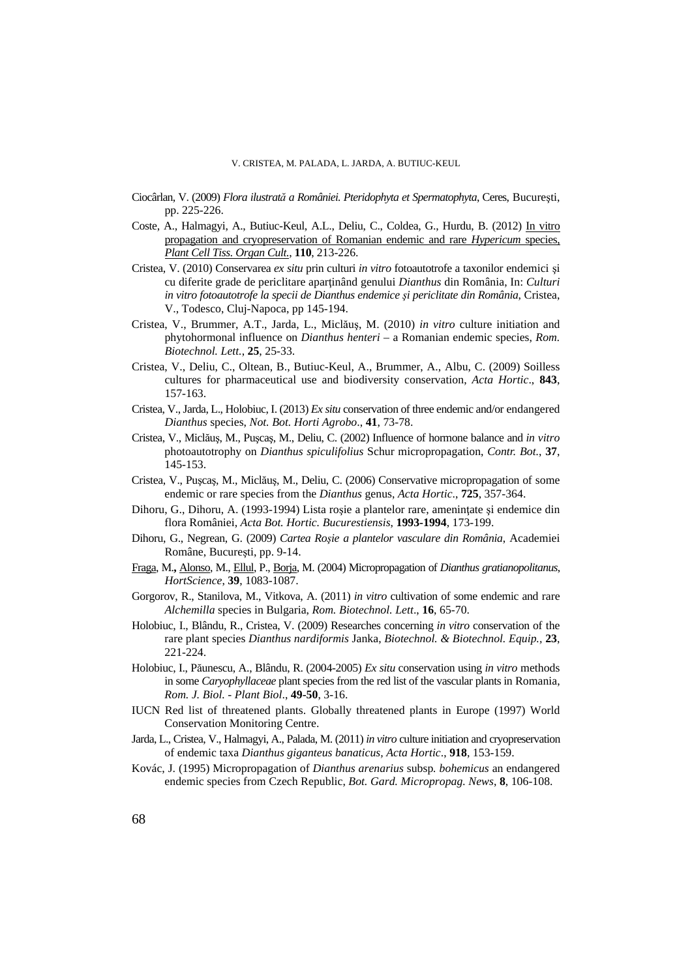- Ciocârlan, V. (2009) *Flora ilustrată a României. Pteridophyta et Spermatophyta*, Ceres, Bucureşti, pp. 225-226.
- Coste, A., Halmagyi, A., Butiuc-Keul, A.L., Deliu, C., Coldea, G., Hurdu, B. (2012) In vitro propagation and cryopreservation of Romanian endemic and rare *Hypericum* species, *Plant Cell Tiss. Organ Cult.*, **110**, 213-226.
- Cristea, V. (2010) Conservarea *ex situ* prin culturi *in vitro* fotoautotrofe a taxonilor endemici şi cu diferite grade de periclitare aparţinând genului *Dianthus* din România, In: *Culturi in vitro fotoautotrofe la specii de Dianthus endemice şi periclitate din România*, Cristea, V., Todesco, Cluj-Napoca, pp 145-194.
- Cristea, V., Brummer, A.T., Jarda, L., Miclăuş, M. (2010) *in vitro* culture initiation and phytohormonal influence on *Dianthus henteri* – a Romanian endemic species, *Rom. Biotechnol. Lett.*, **25**, 25-33.
- Cristea, V., Deliu, C., Oltean, B., Butiuc-Keul, A., Brummer, A., Albu, C. (2009) Soilless cultures for pharmaceutical use and biodiversity conservation, *Acta Hortic*., **843**, 157-163.
- Cristea, V., Jarda, L., Holobiuc, I. (2013) *Ex situ* conservation of three endemic and/or endangered *Dianthus* species, *Not. Bot. Horti Agrobo*., **41**, 73-78.
- Cristea, V., Miclăuş, M., Puşcaş, M., Deliu, C. (2002) Influence of hormone balance and *in vitro*  photoautotrophy on *Dianthus spiculifolius* Schur micropropagation, *Contr. Bot.*, **37**, 145-153.
- Cristea, V., Puşcaş, M., Miclăuş, M., Deliu, C. (2006) Conservative micropropagation of some endemic or rare species from the *Dianthus* genus, *Acta Hortic*., **725**, 357-364.
- Dihoru, G., Dihoru, A. (1993-1994) Lista roșie a plantelor rare, amenințate și endemice din flora României, *Acta Bot. Hortic. Bucurestiensis*, **1993-1994**, 173-199.
- Dihoru, G., Negrean, G. (2009) *Cartea Roşie a plantelor vasculare din România*, Academiei Române, Bucureşti, pp. 9-14.
- Fraga, M.**,** Alonso, M., Ellul, P., Borja, M. (2004) Micropropagation of *Dianthus gratianopolitanus*, *HortScience*, **39**, 1083-1087.
- Gorgorov, R., Stanilova, M., Vitkova, A. (2011) *in vitro* cultivation of some endemic and rare *Alchemilla* species in Bulgaria, *Rom. Biotechnol. Lett*., **16**, 65-70.
- Holobiuc, I., Blându, R., Cristea, V. (2009) Researches concerning *in vitro* conservation of the rare plant species *Dianthus nardiformis* Janka, *Biotechnol. & Biotechnol. Equip.,* **23**, 221-224.
- Holobiuc, I., Păunescu, A., Blându, R. (2004-2005) *Ex situ* conservation using *in vitro* methods in some *Caryophyllaceae* plant species from the red list of the vascular plants in Romania, *Rom. J. Biol. - Plant Biol*., **49-50**, 3-16.
- IUCN Red list of threatened plants. Globally threatened plants in Europe (1997) World Conservation Monitoring Centre.
- Jarda, L., Cristea, V., Halmagyi, A., Palada, M. (2011) *in vitro* culture initiation and cryopreservation of endemic taxa *Dianthus giganteus banaticus, Acta Hortic*., **918**, 153-159.
- Kovác, J. (1995) Micropropagation of *Dianthus arenarius* subsp*. bohemicus* an endangered endemic species from Czech Republic, *Bot. Gard. Micropropag. News*, **8**, 106-108.